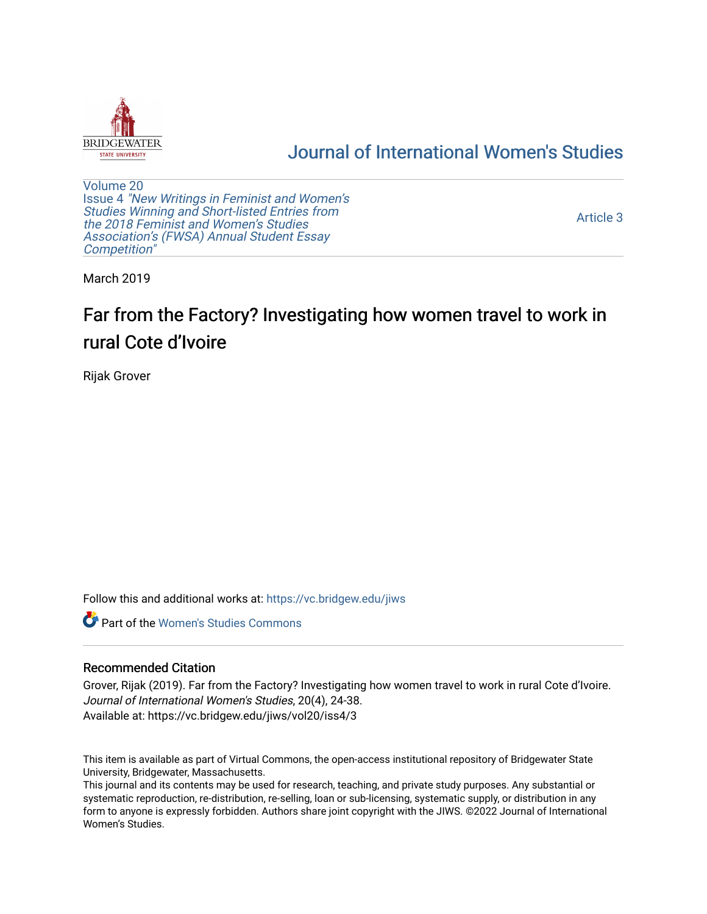

# [Journal of International Women's Studies](https://vc.bridgew.edu/jiws)

[Volume 20](https://vc.bridgew.edu/jiws/vol20) Issue 4 ["New Writings in Feminist and Women's](https://vc.bridgew.edu/jiws/vol20/iss4) [Studies Winning and Short-listed Entries from](https://vc.bridgew.edu/jiws/vol20/iss4) [the 2018 Feminist and Women's Studies](https://vc.bridgew.edu/jiws/vol20/iss4)  [Association's \(FWSA\) Annual Student Essay](https://vc.bridgew.edu/jiws/vol20/iss4) [Competition"](https://vc.bridgew.edu/jiws/vol20/iss4) 

[Article 3](https://vc.bridgew.edu/jiws/vol20/iss4/3) 

March 2019

# Far from the Factory? Investigating how women travel to work in rural Cote d'Ivoire

Rijak Grover

Follow this and additional works at: [https://vc.bridgew.edu/jiws](https://vc.bridgew.edu/jiws?utm_source=vc.bridgew.edu%2Fjiws%2Fvol20%2Fiss4%2F3&utm_medium=PDF&utm_campaign=PDFCoverPages)

**C** Part of the Women's Studies Commons

### Recommended Citation

Grover, Rijak (2019). Far from the Factory? Investigating how women travel to work in rural Cote d'Ivoire. Journal of International Women's Studies, 20(4), 24-38. Available at: https://vc.bridgew.edu/jiws/vol20/iss4/3

This item is available as part of Virtual Commons, the open-access institutional repository of Bridgewater State University, Bridgewater, Massachusetts.

This journal and its contents may be used for research, teaching, and private study purposes. Any substantial or systematic reproduction, re-distribution, re-selling, loan or sub-licensing, systematic supply, or distribution in any form to anyone is expressly forbidden. Authors share joint copyright with the JIWS. ©2022 Journal of International Women's Studies.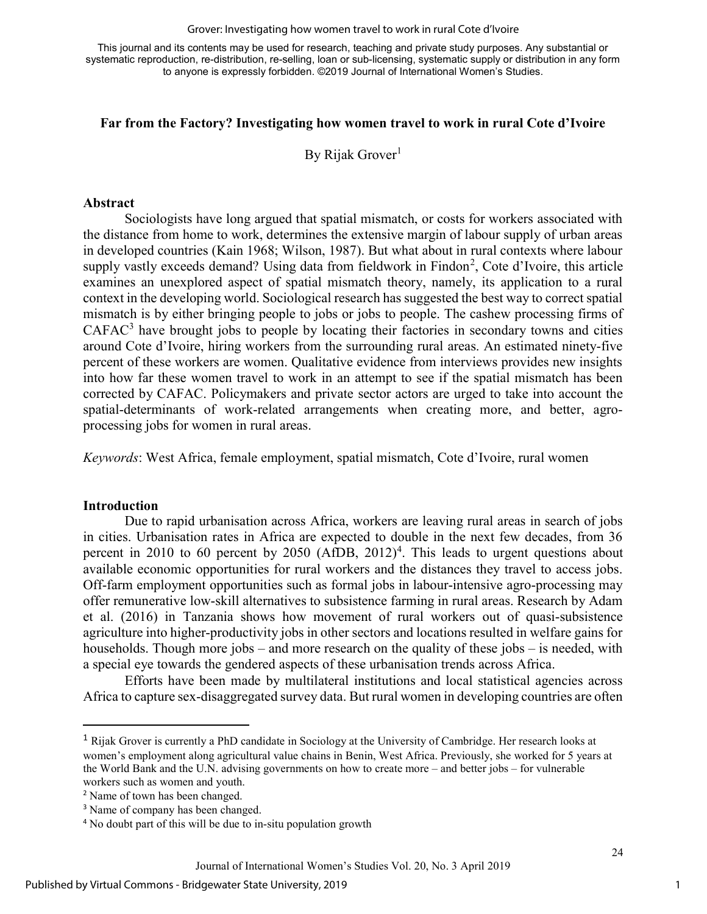#### Grover: Investigating how women travel to work in rural Cote d'Ivoire

This journal and its contents may be used for research, teaching and private study purposes. Any substantial or systematic reproduction, re-distribution, re-selling, loan or sub-licensing, systematic supply or distribution in any form to anyone is expressly forbidden. ©2019 Journal of International Women's Studies.

## Far from the Factory? Investigating how women travel to work in rural Cote d'Ivoire

By Rijak Grover<sup>1</sup>

#### Abstract

Sociologists have long argued that spatial mismatch, or costs for workers associated with the distance from home to work, determines the extensive margin of labour supply of urban areas in developed countries (Kain 1968; Wilson, 1987). But what about in rural contexts where labour supply vastly exceeds demand? Using data from fieldwork in Findon<sup>2</sup>, Cote d'Ivoire, this article examines an unexplored aspect of spatial mismatch theory, namely, its application to a rural context in the developing world. Sociological research has suggested the best way to correct spatial mismatch is by either bringing people to jobs or jobs to people. The cashew processing firms of  $CAFAC<sup>3</sup>$  have brought jobs to people by locating their factories in secondary towns and cities around Cote d'Ivoire, hiring workers from the surrounding rural areas. An estimated ninety-five percent of these workers are women. Qualitative evidence from interviews provides new insights into how far these women travel to work in an attempt to see if the spatial mismatch has been corrected by CAFAC. Policymakers and private sector actors are urged to take into account the spatial-determinants of work-related arrangements when creating more, and better, agroprocessing jobs for women in rural areas.

Keywords: West Africa, female employment, spatial mismatch, Cote d'Ivoire, rural women

#### Introduction

l

Due to rapid urbanisation across Africa, workers are leaving rural areas in search of jobs in cities. Urbanisation rates in Africa are expected to double in the next few decades, from 36 percent in 2010 to 60 percent by 2050 (AfDB,  $2012$ )<sup>4</sup>. This leads to urgent questions about available economic opportunities for rural workers and the distances they travel to access jobs. Off-farm employment opportunities such as formal jobs in labour-intensive agro-processing may offer remunerative low-skill alternatives to subsistence farming in rural areas. Research by Adam et al. (2016) in Tanzania shows how movement of rural workers out of quasi-subsistence agriculture into higher-productivity jobs in other sectors and locations resulted in welfare gains for households. Though more jobs – and more research on the quality of these jobs – is needed, with a special eye towards the gendered aspects of these urbanisation trends across Africa.

Efforts have been made by multilateral institutions and local statistical agencies across Africa to capture sex-disaggregated survey data. But rural women in developing countries are often

<sup>1</sup> Rijak Grover is currently a PhD candidate in Sociology at the University of Cambridge. Her research looks at women's employment along agricultural value chains in Benin, West Africa. Previously, she worked for 5 years at the World Bank and the U.N. advising governments on how to create more – and better jobs – for vulnerable workers such as women and youth.

<sup>2</sup> Name of town has been changed.

<sup>&</sup>lt;sup>3</sup> Name of company has been changed.

<sup>&</sup>lt;sup>4</sup> No doubt part of this will be due to in-situ population growth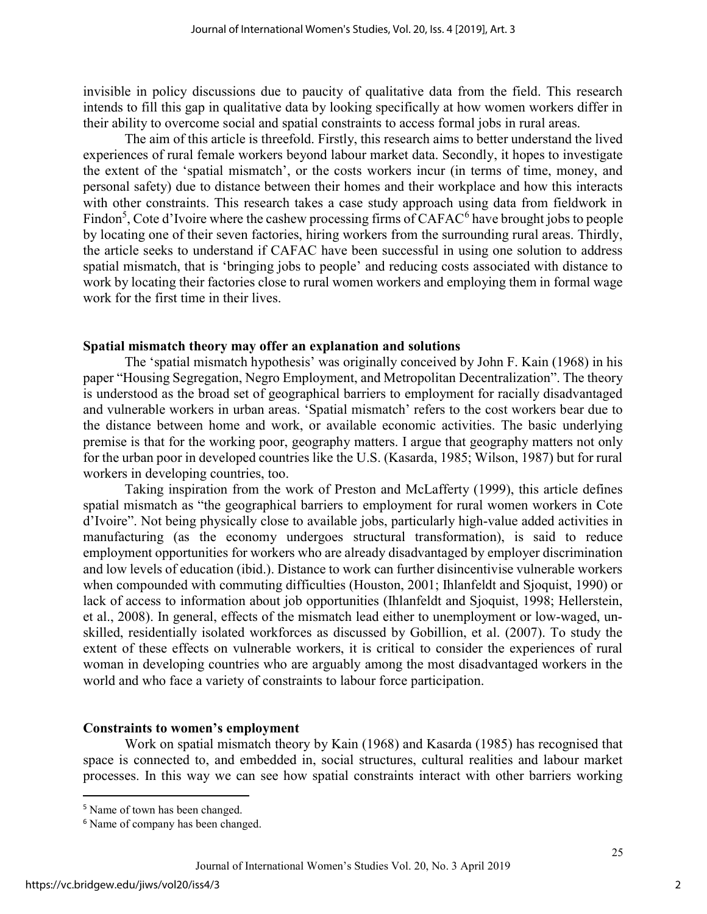invisible in policy discussions due to paucity of qualitative data from the field. This research intends to fill this gap in qualitative data by looking specifically at how women workers differ in their ability to overcome social and spatial constraints to access formal jobs in rural areas.

The aim of this article is threefold. Firstly, this research aims to better understand the lived experiences of rural female workers beyond labour market data. Secondly, it hopes to investigate the extent of the 'spatial mismatch', or the costs workers incur (in terms of time, money, and personal safety) due to distance between their homes and their workplace and how this interacts with other constraints. This research takes a case study approach using data from fieldwork in Findon<sup>5</sup>, Cote d'Ivoire where the cashew processing firms of CAFAC<sup>6</sup> have brought jobs to people by locating one of their seven factories, hiring workers from the surrounding rural areas. Thirdly, the article seeks to understand if CAFAC have been successful in using one solution to address spatial mismatch, that is 'bringing jobs to people' and reducing costs associated with distance to work by locating their factories close to rural women workers and employing them in formal wage work for the first time in their lives.

### Spatial mismatch theory may offer an explanation and solutions

The 'spatial mismatch hypothesis' was originally conceived by John F. Kain (1968) in his paper "Housing Segregation, Negro Employment, and Metropolitan Decentralization". The theory is understood as the broad set of geographical barriers to employment for racially disadvantaged and vulnerable workers in urban areas. 'Spatial mismatch' refers to the cost workers bear due to the distance between home and work, or available economic activities. The basic underlying premise is that for the working poor, geography matters. I argue that geography matters not only for the urban poor in developed countries like the U.S. (Kasarda, 1985; Wilson, 1987) but for rural workers in developing countries, too.

Taking inspiration from the work of Preston and McLafferty (1999), this article defines spatial mismatch as "the geographical barriers to employment for rural women workers in Cote d'Ivoire". Not being physically close to available jobs, particularly high-value added activities in manufacturing (as the economy undergoes structural transformation), is said to reduce employment opportunities for workers who are already disadvantaged by employer discrimination and low levels of education (ibid.). Distance to work can further disincentivise vulnerable workers when compounded with commuting difficulties (Houston, 2001; Ihlanfeldt and Sjoquist, 1990) or lack of access to information about job opportunities (Ihlanfeldt and Sjoquist, 1998; Hellerstein, et al., 2008). In general, effects of the mismatch lead either to unemployment or low-waged, unskilled, residentially isolated workforces as discussed by Gobillion, et al. (2007). To study the extent of these effects on vulnerable workers, it is critical to consider the experiences of rural woman in developing countries who are arguably among the most disadvantaged workers in the world and who face a variety of constraints to labour force participation.

#### Constraints to women's employment

Work on spatial mismatch theory by Kain (1968) and Kasarda (1985) has recognised that space is connected to, and embedded in, social structures, cultural realities and labour market processes. In this way we can see how spatial constraints interact with other barriers working

l

<sup>&</sup>lt;sup>5</sup> Name of town has been changed.

<sup>&</sup>lt;sup>6</sup> Name of company has been changed.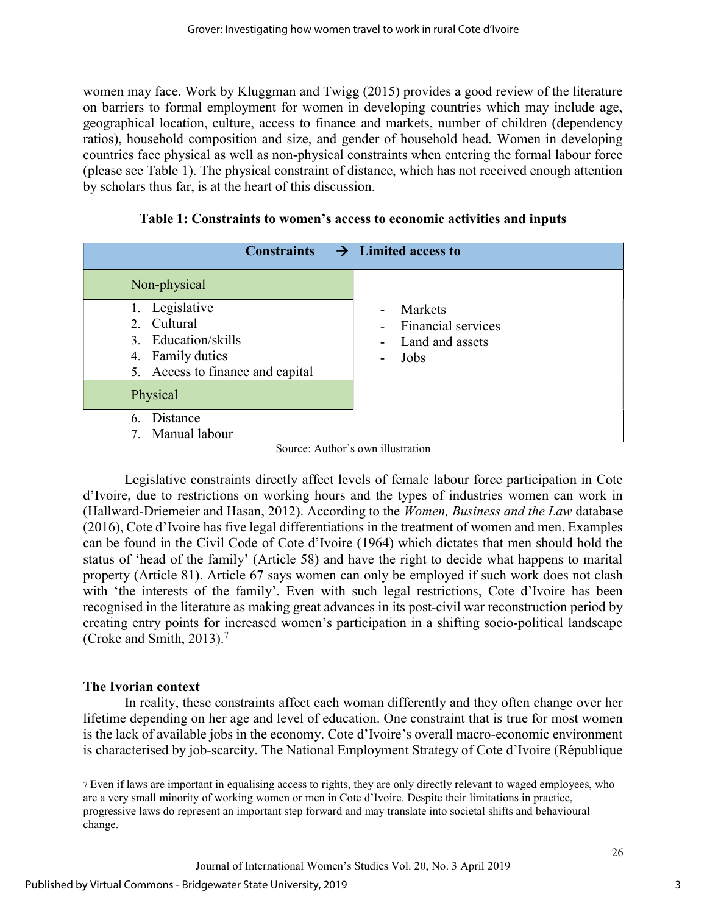women may face. Work by Kluggman and Twigg (2015) provides a good review of the literature on barriers to formal employment for women in developing countries which may include age, geographical location, culture, access to finance and markets, number of children (dependency ratios), household composition and size, and gender of household head. Women in developing countries face physical as well as non-physical constraints when entering the formal labour force (please see Table 1). The physical constraint of distance, which has not received enough attention by scholars thus far, is at the heart of this discussion.

| <b>Constraints</b>               | $\rightarrow$ Limited access to   |
|----------------------------------|-----------------------------------|
| Non-physical                     |                                   |
| 1. Legislative                   | Markets<br>$\blacksquare$         |
| 2. Cultural                      | <b>Financial services</b>         |
| 3. Education/skills              | Land and assets<br>$\overline{a}$ |
| 4. Family duties                 | Jobs<br>$\blacksquare$            |
| 5. Access to finance and capital |                                   |
| Physical                         |                                   |
| Distance<br>6.                   |                                   |
| Manual labour                    |                                   |

Table 1: Constraints to women's access to economic activities and inputs

Source: Author's own illustration

Legislative constraints directly affect levels of female labour force participation in Cote d'Ivoire, due to restrictions on working hours and the types of industries women can work in (Hallward-Driemeier and Hasan, 2012). According to the Women, Business and the Law database (2016), Cote d'Ivoire has five legal differentiations in the treatment of women and men. Examples can be found in the Civil Code of Cote d'Ivoire (1964) which dictates that men should hold the status of 'head of the family' (Article 58) and have the right to decide what happens to marital property (Article 81). Article 67 says women can only be employed if such work does not clash with 'the interests of the family'. Even with such legal restrictions, Cote d'Ivoire has been recognised in the literature as making great advances in its post-civil war reconstruction period by creating entry points for increased women's participation in a shifting socio-political landscape (Croke and Smith, 2013).<sup>7</sup>

# The Ivorian context

l

In reality, these constraints affect each woman differently and they often change over her lifetime depending on her age and level of education. One constraint that is true for most women is the lack of available jobs in the economy. Cote d'Ivoire's overall macro-economic environment is characterised by job-scarcity. The National Employment Strategy of Cote d'Ivoire (République

Journal of International Women's Studies Vol. 20, No. 3 April 2019

<sup>7</sup> Even if laws are important in equalising access to rights, they are only directly relevant to waged employees, who are a very small minority of working women or men in Cote d'Ivoire. Despite their limitations in practice, progressive laws do represent an important step forward and may translate into societal shifts and behavioural change.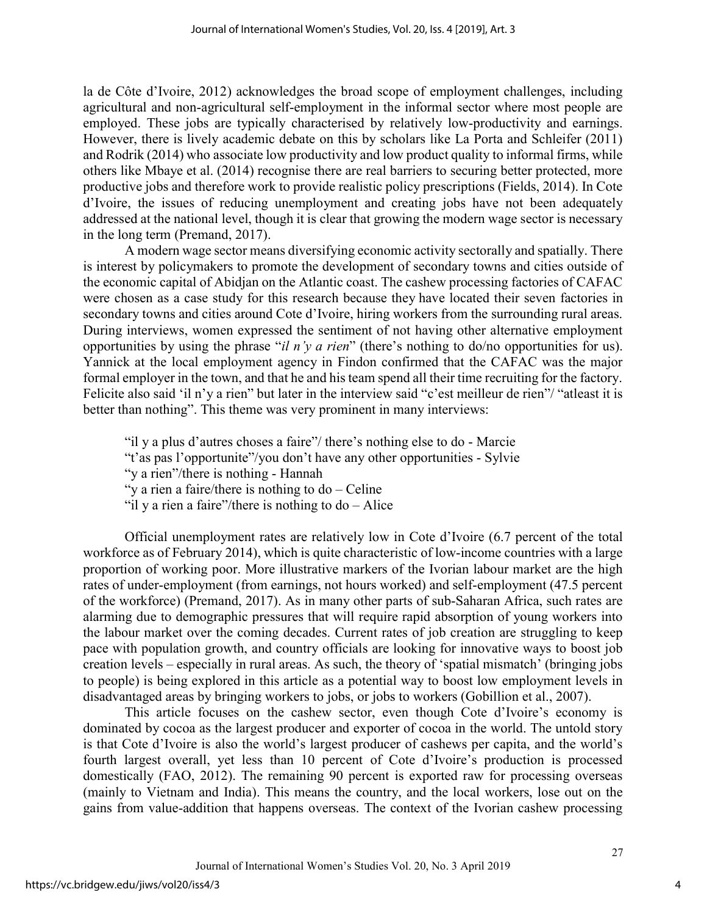la de Côte d'Ivoire, 2012) acknowledges the broad scope of employment challenges, including agricultural and non-agricultural self-employment in the informal sector where most people are employed. These jobs are typically characterised by relatively low-productivity and earnings. However, there is lively academic debate on this by scholars like La Porta and Schleifer (2011) and Rodrik (2014) who associate low productivity and low product quality to informal firms, while others like Mbaye et al. (2014) recognise there are real barriers to securing better protected, more productive jobs and therefore work to provide realistic policy prescriptions (Fields, 2014). In Cote d'Ivoire, the issues of reducing unemployment and creating jobs have not been adequately addressed at the national level, though it is clear that growing the modern wage sector is necessary in the long term (Premand, 2017).

A modern wage sector means diversifying economic activity sectorally and spatially. There is interest by policymakers to promote the development of secondary towns and cities outside of the economic capital of Abidjan on the Atlantic coast. The cashew processing factories of CAFAC were chosen as a case study for this research because they have located their seven factories in secondary towns and cities around Cote d'Ivoire, hiring workers from the surrounding rural areas. During interviews, women expressed the sentiment of not having other alternative employment opportunities by using the phrase "il n'y a rien" (there's nothing to do/no opportunities for us). Yannick at the local employment agency in Findon confirmed that the CAFAC was the major formal employer in the town, and that he and his team spend all their time recruiting for the factory. Felicite also said 'il n'y a rien" but later in the interview said "c'est meilleur de rien"/ "atleast it is better than nothing". This theme was very prominent in many interviews:

"il y a plus d'autres choses a faire"/ there's nothing else to do - Marcie

"y a rien"/there is nothing - Hannah

"y a rien a faire/there is nothing to  $do$  – Celine"

"il y a rien a faire"/there is nothing to  $do - Alice$ 

Official unemployment rates are relatively low in Cote d'Ivoire (6.7 percent of the total workforce as of February 2014), which is quite characteristic of low-income countries with a large proportion of working poor. More illustrative markers of the Ivorian labour market are the high rates of under-employment (from earnings, not hours worked) and self-employment (47.5 percent of the workforce) (Premand, 2017). As in many other parts of sub-Saharan Africa, such rates are alarming due to demographic pressures that will require rapid absorption of young workers into the labour market over the coming decades. Current rates of job creation are struggling to keep pace with population growth, and country officials are looking for innovative ways to boost job creation levels – especially in rural areas. As such, the theory of 'spatial mismatch' (bringing jobs to people) is being explored in this article as a potential way to boost low employment levels in disadvantaged areas by bringing workers to jobs, or jobs to workers (Gobillion et al., 2007).

This article focuses on the cashew sector, even though Cote d'Ivoire's economy is dominated by cocoa as the largest producer and exporter of cocoa in the world. The untold story is that Cote d'Ivoire is also the world's largest producer of cashews per capita, and the world's fourth largest overall, yet less than 10 percent of Cote d'Ivoire's production is processed domestically (FAO, 2012). The remaining 90 percent is exported raw for processing overseas (mainly to Vietnam and India). This means the country, and the local workers, lose out on the gains from value-addition that happens overseas. The context of the Ivorian cashew processing

4

<sup>&</sup>quot;t'as pas l'opportunite"/you don't have any other opportunities - Sylvie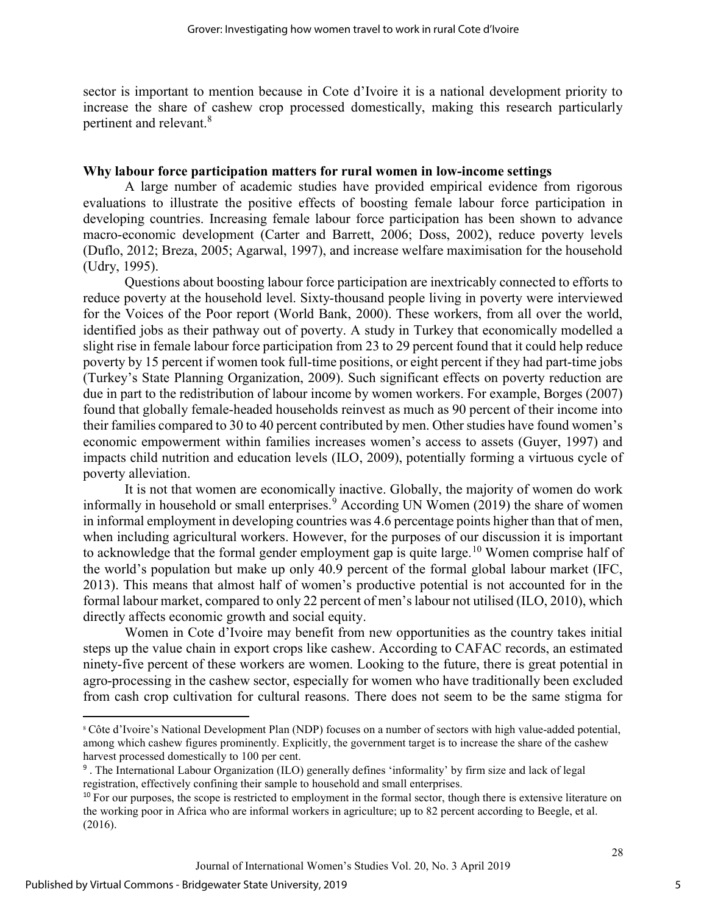sector is important to mention because in Cote d'Ivoire it is a national development priority to increase the share of cashew crop processed domestically, making this research particularly pertinent and relevant.<sup>8</sup>

# Why labour force participation matters for rural women in low-income settings

A large number of academic studies have provided empirical evidence from rigorous evaluations to illustrate the positive effects of boosting female labour force participation in developing countries. Increasing female labour force participation has been shown to advance macro-economic development (Carter and Barrett, 2006; Doss, 2002), reduce poverty levels (Duflo, 2012; Breza, 2005; Agarwal, 1997), and increase welfare maximisation for the household (Udry, 1995).

Questions about boosting labour force participation are inextricably connected to efforts to reduce poverty at the household level. Sixty-thousand people living in poverty were interviewed for the Voices of the Poor report (World Bank, 2000). These workers, from all over the world, identified jobs as their pathway out of poverty. A study in Turkey that economically modelled a slight rise in female labour force participation from 23 to 29 percent found that it could help reduce poverty by 15 percent if women took full-time positions, or eight percent if they had part-time jobs (Turkey's State Planning Organization, 2009). Such significant effects on poverty reduction are due in part to the redistribution of labour income by women workers. For example, Borges (2007) found that globally female-headed households reinvest as much as 90 percent of their income into their families compared to 30 to 40 percent contributed by men. Other studies have found women's economic empowerment within families increases women's access to assets (Guyer, 1997) and impacts child nutrition and education levels (ILO, 2009), potentially forming a virtuous cycle of poverty alleviation.

It is not that women are economically inactive. Globally, the majority of women do work informally in household or small enterprises.<sup>9</sup> According UN Women (2019) the share of women in informal employment in developing countries was 4.6 percentage points higher than that of men, when including agricultural workers. However, for the purposes of our discussion it is important to acknowledge that the formal gender employment gap is quite large.<sup>10</sup> Women comprise half of the world's population but make up only 40.9 percent of the formal global labour market (IFC, 2013). This means that almost half of women's productive potential is not accounted for in the formal labour market, compared to only 22 percent of men's labour not utilised (ILO, 2010), which directly affects economic growth and social equity.

Women in Cote d'Ivoire may benefit from new opportunities as the country takes initial steps up the value chain in export crops like cashew. According to CAFAC records, an estimated ninety-five percent of these workers are women. Looking to the future, there is great potential in agro-processing in the cashew sector, especially for women who have traditionally been excluded from cash crop cultivation for cultural reasons. There does not seem to be the same stigma for

l

5

<sup>8</sup> Côte d'Ivoire's National Development Plan (NDP) focuses on a number of sectors with high value-added potential, among which cashew figures prominently. Explicitly, the government target is to increase the share of the cashew harvest processed domestically to 100 per cent.

<sup>&</sup>lt;sup>9</sup>. The International Labour Organization (ILO) generally defines 'informality' by firm size and lack of legal registration, effectively confining their sample to household and small enterprises.

<sup>&</sup>lt;sup>10</sup> For our purposes, the scope is restricted to employment in the formal sector, though there is extensive literature on the working poor in Africa who are informal workers in agriculture; up to 82 percent according to Beegle, et al. (2016).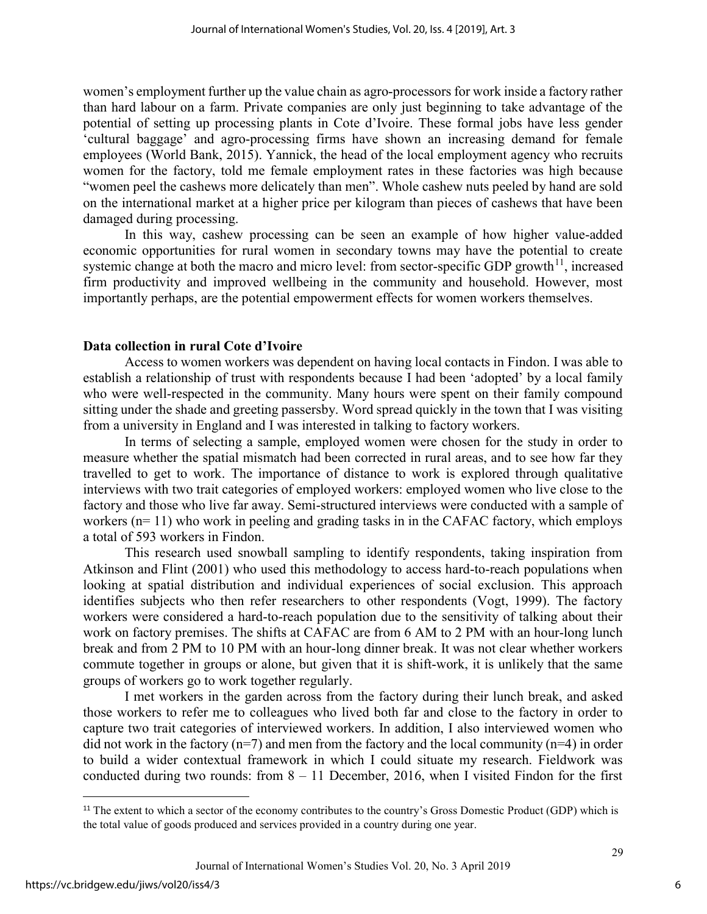women's employment further up the value chain as agro-processors for work inside a factory rather than hard labour on a farm. Private companies are only just beginning to take advantage of the potential of setting up processing plants in Cote d'Ivoire. These formal jobs have less gender 'cultural baggage' and agro-processing firms have shown an increasing demand for female employees (World Bank, 2015). Yannick, the head of the local employment agency who recruits women for the factory, told me female employment rates in these factories was high because "women peel the cashews more delicately than men". Whole cashew nuts peeled by hand are sold on the international market at a higher price per kilogram than pieces of cashews that have been damaged during processing.

In this way, cashew processing can be seen an example of how higher value-added economic opportunities for rural women in secondary towns may have the potential to create systemic change at both the macro and micro level: from sector-specific GDP growth<sup>11</sup>, increased firm productivity and improved wellbeing in the community and household. However, most importantly perhaps, are the potential empowerment effects for women workers themselves.

#### Data collection in rural Cote d'Ivoire

Access to women workers was dependent on having local contacts in Findon. I was able to establish a relationship of trust with respondents because I had been 'adopted' by a local family who were well-respected in the community. Many hours were spent on their family compound sitting under the shade and greeting passersby. Word spread quickly in the town that I was visiting from a university in England and I was interested in talking to factory workers.

In terms of selecting a sample, employed women were chosen for the study in order to measure whether the spatial mismatch had been corrected in rural areas, and to see how far they travelled to get to work. The importance of distance to work is explored through qualitative interviews with two trait categories of employed workers: employed women who live close to the factory and those who live far away. Semi-structured interviews were conducted with a sample of workers (n= 11) who work in peeling and grading tasks in in the CAFAC factory, which employs a total of 593 workers in Findon.

This research used snowball sampling to identify respondents, taking inspiration from Atkinson and Flint (2001) who used this methodology to access hard-to-reach populations when looking at spatial distribution and individual experiences of social exclusion. This approach identifies subjects who then refer researchers to other respondents (Vogt, 1999). The factory workers were considered a hard-to-reach population due to the sensitivity of talking about their work on factory premises. The shifts at CAFAC are from 6 AM to 2 PM with an hour-long lunch break and from 2 PM to 10 PM with an hour-long dinner break. It was not clear whether workers commute together in groups or alone, but given that it is shift-work, it is unlikely that the same groups of workers go to work together regularly.

I met workers in the garden across from the factory during their lunch break, and asked those workers to refer me to colleagues who lived both far and close to the factory in order to capture two trait categories of interviewed workers. In addition, I also interviewed women who did not work in the factory ( $n=7$ ) and men from the factory and the local community ( $n=4$ ) in order to build a wider contextual framework in which I could situate my research. Fieldwork was conducted during two rounds: from  $8 - 11$  December, 2016, when I visited Findon for the first

l

6

<sup>&</sup>lt;sup>11</sup> The extent to which a sector of the economy contributes to the country's Gross Domestic Product (GDP) which is the total value of goods produced and services provided in a country during one year.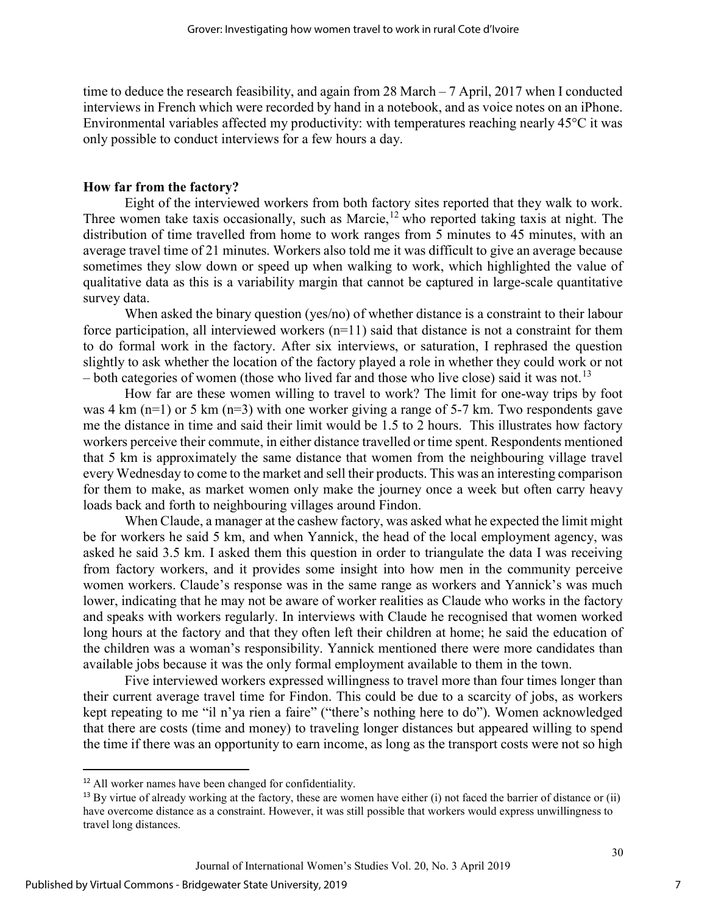time to deduce the research feasibility, and again from 28 March – 7 April, 2017 when I conducted interviews in French which were recorded by hand in a notebook, and as voice notes on an iPhone. Environmental variables affected my productivity: with temperatures reaching nearly 45°C it was only possible to conduct interviews for a few hours a day.

# How far from the factory?

Eight of the interviewed workers from both factory sites reported that they walk to work. Three women take taxis occasionally, such as Marcie,<sup>12</sup> who reported taking taxis at night. The distribution of time travelled from home to work ranges from 5 minutes to 45 minutes, with an average travel time of 21 minutes. Workers also told me it was difficult to give an average because sometimes they slow down or speed up when walking to work, which highlighted the value of qualitative data as this is a variability margin that cannot be captured in large-scale quantitative survey data.

When asked the binary question (yes/no) of whether distance is a constraint to their labour force participation, all interviewed workers  $(n=11)$  said that distance is not a constraint for them to do formal work in the factory. After six interviews, or saturation, I rephrased the question slightly to ask whether the location of the factory played a role in whether they could work or not – both categories of women (those who lived far and those who live close) said it was not.<sup>13</sup>

How far are these women willing to travel to work? The limit for one-way trips by foot was 4 km  $(n=1)$  or 5 km  $(n=3)$  with one worker giving a range of 5-7 km. Two respondents gave me the distance in time and said their limit would be 1.5 to 2 hours. This illustrates how factory workers perceive their commute, in either distance travelled or time spent. Respondents mentioned that 5 km is approximately the same distance that women from the neighbouring village travel every Wednesday to come to the market and sell their products. This was an interesting comparison for them to make, as market women only make the journey once a week but often carry heavy loads back and forth to neighbouring villages around Findon.

When Claude, a manager at the cashew factory, was asked what he expected the limit might be for workers he said 5 km, and when Yannick, the head of the local employment agency, was asked he said 3.5 km. I asked them this question in order to triangulate the data I was receiving from factory workers, and it provides some insight into how men in the community perceive women workers. Claude's response was in the same range as workers and Yannick's was much lower, indicating that he may not be aware of worker realities as Claude who works in the factory and speaks with workers regularly. In interviews with Claude he recognised that women worked long hours at the factory and that they often left their children at home; he said the education of the children was a woman's responsibility. Yannick mentioned there were more candidates than available jobs because it was the only formal employment available to them in the town.

Five interviewed workers expressed willingness to travel more than four times longer than their current average travel time for Findon. This could be due to a scarcity of jobs, as workers kept repeating to me "il n'ya rien a faire" ("there's nothing here to do"). Women acknowledged that there are costs (time and money) to traveling longer distances but appeared willing to spend the time if there was an opportunity to earn income, as long as the transport costs were not so high

-

<sup>&</sup>lt;sup>12</sup> All worker names have been changed for confidentiality.

 $13$  By virtue of already working at the factory, these are women have either (i) not faced the barrier of distance or (ii) have overcome distance as a constraint. However, it was still possible that workers would express unwillingness to travel long distances.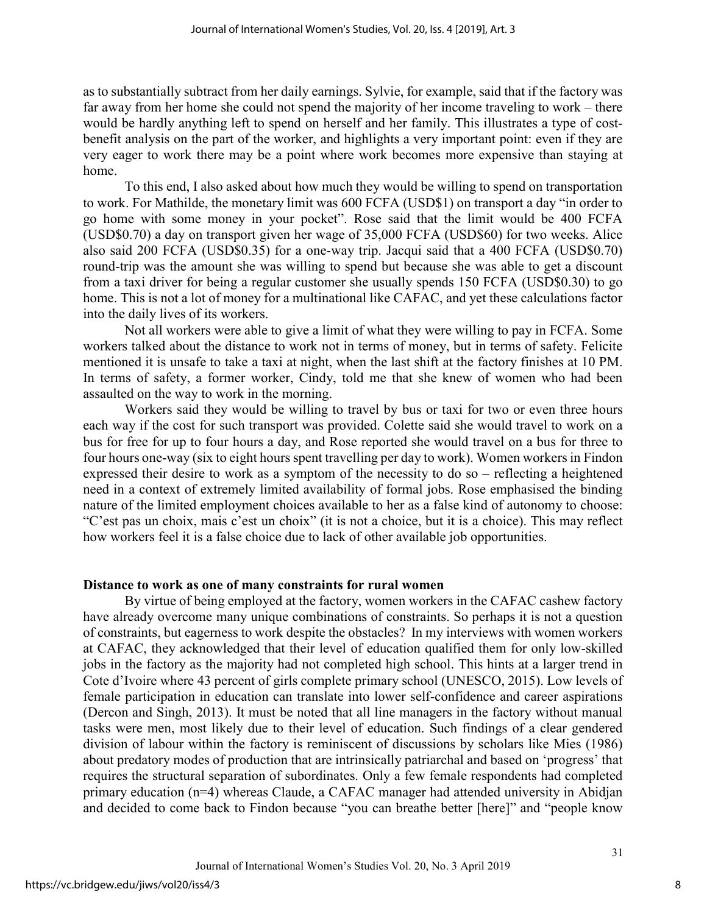as to substantially subtract from her daily earnings. Sylvie, for example, said that if the factory was far away from her home she could not spend the majority of her income traveling to work – there would be hardly anything left to spend on herself and her family. This illustrates a type of costbenefit analysis on the part of the worker, and highlights a very important point: even if they are very eager to work there may be a point where work becomes more expensive than staying at home.

To this end, I also asked about how much they would be willing to spend on transportation to work. For Mathilde, the monetary limit was 600 FCFA (USD\$1) on transport a day "in order to go home with some money in your pocket". Rose said that the limit would be 400 FCFA (USD\$0.70) a day on transport given her wage of 35,000 FCFA (USD\$60) for two weeks. Alice also said 200 FCFA (USD\$0.35) for a one-way trip. Jacqui said that a 400 FCFA (USD\$0.70) round-trip was the amount she was willing to spend but because she was able to get a discount from a taxi driver for being a regular customer she usually spends 150 FCFA (USD\$0.30) to go home. This is not a lot of money for a multinational like CAFAC, and yet these calculations factor into the daily lives of its workers.

Not all workers were able to give a limit of what they were willing to pay in FCFA. Some workers talked about the distance to work not in terms of money, but in terms of safety. Felicite mentioned it is unsafe to take a taxi at night, when the last shift at the factory finishes at 10 PM. In terms of safety, a former worker, Cindy, told me that she knew of women who had been assaulted on the way to work in the morning.

Workers said they would be willing to travel by bus or taxi for two or even three hours each way if the cost for such transport was provided. Colette said she would travel to work on a bus for free for up to four hours a day, and Rose reported she would travel on a bus for three to four hours one-way (six to eight hours spent travelling per day to work). Women workers in Findon expressed their desire to work as a symptom of the necessity to do so – reflecting a heightened need in a context of extremely limited availability of formal jobs. Rose emphasised the binding nature of the limited employment choices available to her as a false kind of autonomy to choose: "C'est pas un choix, mais c'est un choix" (it is not a choice, but it is a choice). This may reflect how workers feel it is a false choice due to lack of other available job opportunities.

### Distance to work as one of many constraints for rural women

By virtue of being employed at the factory, women workers in the CAFAC cashew factory have already overcome many unique combinations of constraints. So perhaps it is not a question of constraints, but eagerness to work despite the obstacles? In my interviews with women workers at CAFAC, they acknowledged that their level of education qualified them for only low-skilled jobs in the factory as the majority had not completed high school. This hints at a larger trend in Cote d'Ivoire where 43 percent of girls complete primary school (UNESCO, 2015). Low levels of female participation in education can translate into lower self-confidence and career aspirations (Dercon and Singh, 2013). It must be noted that all line managers in the factory without manual tasks were men, most likely due to their level of education. Such findings of a clear gendered division of labour within the factory is reminiscent of discussions by scholars like Mies (1986) about predatory modes of production that are intrinsically patriarchal and based on 'progress' that requires the structural separation of subordinates. Only a few female respondents had completed primary education (n=4) whereas Claude, a CAFAC manager had attended university in Abidjan and decided to come back to Findon because "you can breathe better [here]" and "people know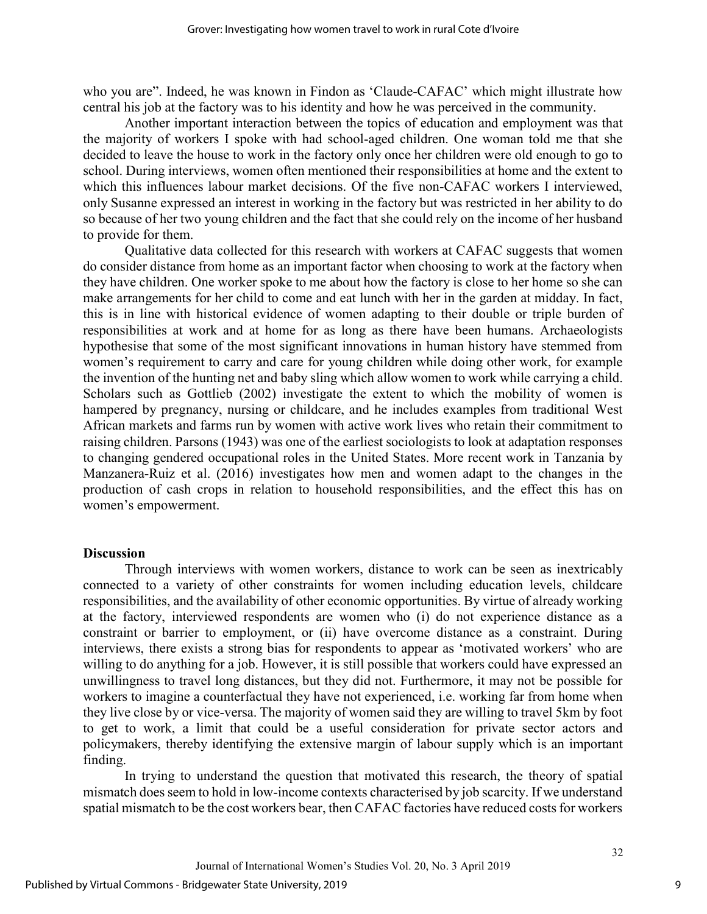who you are". Indeed, he was known in Findon as 'Claude-CAFAC' which might illustrate how central his job at the factory was to his identity and how he was perceived in the community.

Another important interaction between the topics of education and employment was that the majority of workers I spoke with had school-aged children. One woman told me that she decided to leave the house to work in the factory only once her children were old enough to go to school. During interviews, women often mentioned their responsibilities at home and the extent to which this influences labour market decisions. Of the five non-CAFAC workers I interviewed, only Susanne expressed an interest in working in the factory but was restricted in her ability to do so because of her two young children and the fact that she could rely on the income of her husband to provide for them.

Qualitative data collected for this research with workers at CAFAC suggests that women do consider distance from home as an important factor when choosing to work at the factory when they have children. One worker spoke to me about how the factory is close to her home so she can make arrangements for her child to come and eat lunch with her in the garden at midday. In fact, this is in line with historical evidence of women adapting to their double or triple burden of responsibilities at work and at home for as long as there have been humans. Archaeologists hypothesise that some of the most significant innovations in human history have stemmed from women's requirement to carry and care for young children while doing other work, for example the invention of the hunting net and baby sling which allow women to work while carrying a child. Scholars such as Gottlieb (2002) investigate the extent to which the mobility of women is hampered by pregnancy, nursing or childcare, and he includes examples from traditional West African markets and farms run by women with active work lives who retain their commitment to raising children. Parsons (1943) was one of the earliest sociologists to look at adaptation responses to changing gendered occupational roles in the United States. More recent work in Tanzania by Manzanera-Ruiz et al. (2016) investigates how men and women adapt to the changes in the production of cash crops in relation to household responsibilities, and the effect this has on women's empowerment.

# **Discussion**

Through interviews with women workers, distance to work can be seen as inextricably connected to a variety of other constraints for women including education levels, childcare responsibilities, and the availability of other economic opportunities. By virtue of already working at the factory, interviewed respondents are women who (i) do not experience distance as a constraint or barrier to employment, or (ii) have overcome distance as a constraint. During interviews, there exists a strong bias for respondents to appear as 'motivated workers' who are willing to do anything for a job. However, it is still possible that workers could have expressed an unwillingness to travel long distances, but they did not. Furthermore, it may not be possible for workers to imagine a counterfactual they have not experienced, i.e. working far from home when they live close by or vice-versa. The majority of women said they are willing to travel 5km by foot to get to work, a limit that could be a useful consideration for private sector actors and policymakers, thereby identifying the extensive margin of labour supply which is an important finding.

In trying to understand the question that motivated this research, the theory of spatial mismatch does seem to hold in low-income contexts characterised by job scarcity. If we understand spatial mismatch to be the cost workers bear, then CAFAC factories have reduced costs for workers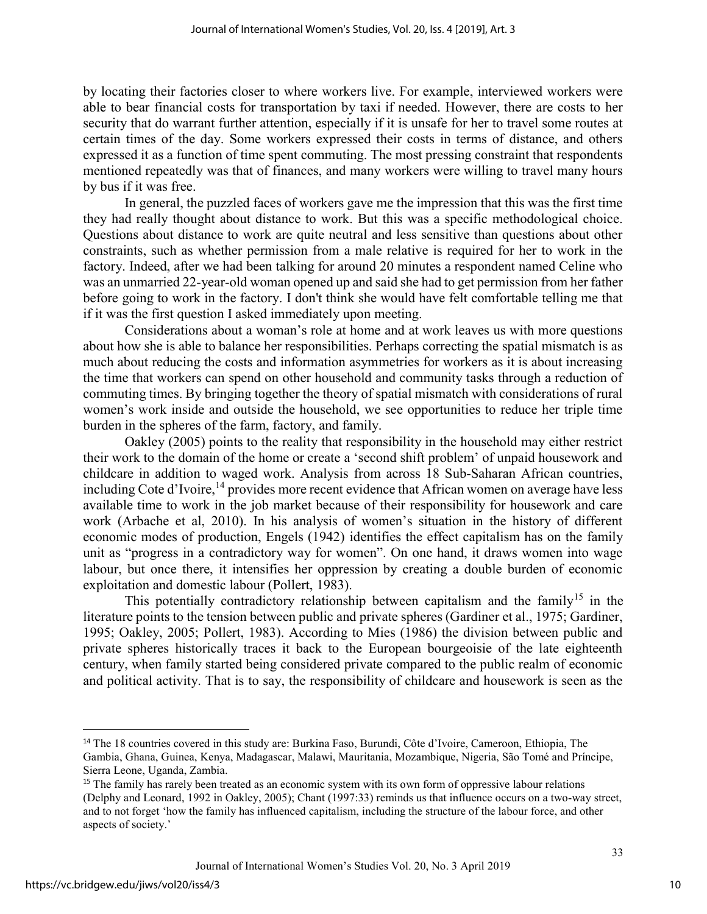by locating their factories closer to where workers live. For example, interviewed workers were able to bear financial costs for transportation by taxi if needed. However, there are costs to her security that do warrant further attention, especially if it is unsafe for her to travel some routes at certain times of the day. Some workers expressed their costs in terms of distance, and others expressed it as a function of time spent commuting. The most pressing constraint that respondents mentioned repeatedly was that of finances, and many workers were willing to travel many hours by bus if it was free.

In general, the puzzled faces of workers gave me the impression that this was the first time they had really thought about distance to work. But this was a specific methodological choice. Questions about distance to work are quite neutral and less sensitive than questions about other constraints, such as whether permission from a male relative is required for her to work in the factory. Indeed, after we had been talking for around 20 minutes a respondent named Celine who was an unmarried 22-year-old woman opened up and said she had to get permission from her father before going to work in the factory. I don't think she would have felt comfortable telling me that if it was the first question I asked immediately upon meeting.

Considerations about a woman's role at home and at work leaves us with more questions about how she is able to balance her responsibilities. Perhaps correcting the spatial mismatch is as much about reducing the costs and information asymmetries for workers as it is about increasing the time that workers can spend on other household and community tasks through a reduction of commuting times. By bringing together the theory of spatial mismatch with considerations of rural women's work inside and outside the household, we see opportunities to reduce her triple time burden in the spheres of the farm, factory, and family.

Oakley (2005) points to the reality that responsibility in the household may either restrict their work to the domain of the home or create a 'second shift problem' of unpaid housework and childcare in addition to waged work. Analysis from across 18 Sub-Saharan African countries, including Cote d'Ivoire,  $^{14}$  provides more recent evidence that African women on average have less available time to work in the job market because of their responsibility for housework and care work (Arbache et al, 2010). In his analysis of women's situation in the history of different economic modes of production, Engels (1942) identifies the effect capitalism has on the family unit as "progress in a contradictory way for women". On one hand, it draws women into wage labour, but once there, it intensifies her oppression by creating a double burden of economic exploitation and domestic labour (Pollert, 1983).

This potentially contradictory relationship between capitalism and the family<sup>15</sup> in the literature points to the tension between public and private spheres (Gardiner et al., 1975; Gardiner, 1995; Oakley, 2005; Pollert, 1983). According to Mies (1986) the division between public and private spheres historically traces it back to the European bourgeoisie of the late eighteenth century, when family started being considered private compared to the public realm of economic and political activity. That is to say, the responsibility of childcare and housework is seen as the

-

<sup>14</sup> The 18 countries covered in this study are: Burkina Faso, Burundi, Côte d'Ivoire, Cameroon, Ethiopia, The Gambia, Ghana, Guinea, Kenya, Madagascar, Malawi, Mauritania, Mozambique, Nigeria, São Tomé and Príncipe, Sierra Leone, Uganda, Zambia.

<sup>&</sup>lt;sup>15</sup> The family has rarely been treated as an economic system with its own form of oppressive labour relations (Delphy and Leonard, 1992 in Oakley, 2005); Chant (1997:33) reminds us that influence occurs on a two-way street, and to not forget 'how the family has influenced capitalism, including the structure of the labour force, and other aspects of society.'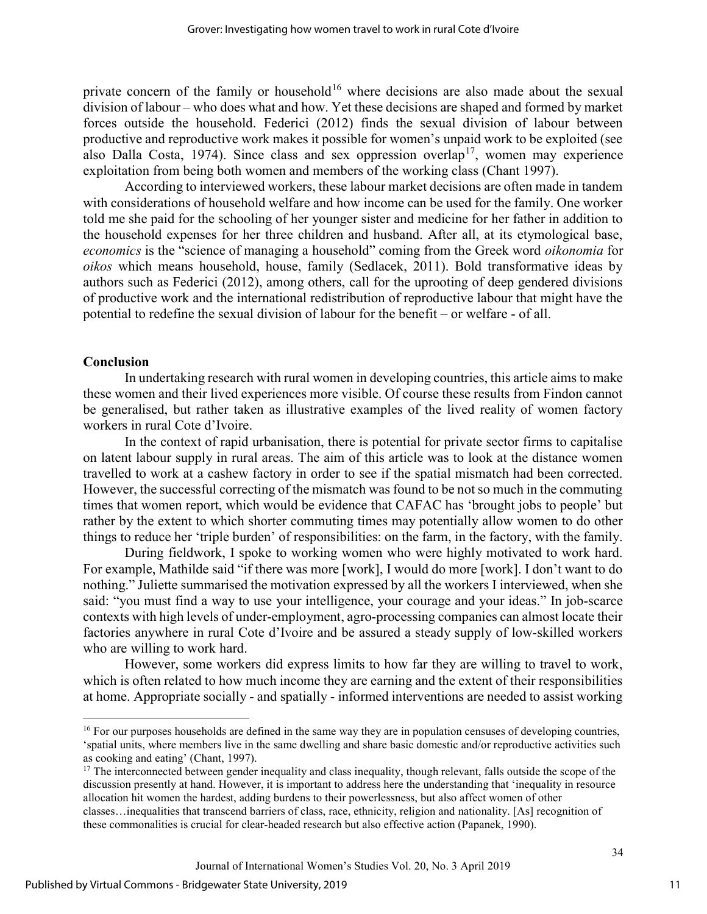private concern of the family or household<sup>16</sup> where decisions are also made about the sexual division of labour – who does what and how. Yet these decisions are shaped and formed by market forces outside the household. Federici (2012) finds the sexual division of labour between productive and reproductive work makes it possible for women's unpaid work to be exploited (see also Dalla Costa, 1974). Since class and sex oppression overlap<sup>17</sup>, women may experience exploitation from being both women and members of the working class (Chant 1997).

According to interviewed workers, these labour market decisions are often made in tandem with considerations of household welfare and how income can be used for the family. One worker told me she paid for the schooling of her younger sister and medicine for her father in addition to the household expenses for her three children and husband. After all, at its etymological base, economics is the "science of managing a household" coming from the Greek word oikonomia for oikos which means household, house, family (Sedlacek, 2011). Bold transformative ideas by authors such as Federici (2012), among others, call for the uprooting of deep gendered divisions of productive work and the international redistribution of reproductive labour that might have the potential to redefine the sexual division of labour for the benefit – or welfare - of all.

# Conclusion

l

In undertaking research with rural women in developing countries, this article aims to make these women and their lived experiences more visible. Of course these results from Findon cannot be generalised, but rather taken as illustrative examples of the lived reality of women factory workers in rural Cote d'Ivoire.

In the context of rapid urbanisation, there is potential for private sector firms to capitalise on latent labour supply in rural areas. The aim of this article was to look at the distance women travelled to work at a cashew factory in order to see if the spatial mismatch had been corrected. However, the successful correcting of the mismatch was found to be not so much in the commuting times that women report, which would be evidence that CAFAC has 'brought jobs to people' but rather by the extent to which shorter commuting times may potentially allow women to do other things to reduce her 'triple burden' of responsibilities: on the farm, in the factory, with the family.

During fieldwork, I spoke to working women who were highly motivated to work hard. For example, Mathilde said "if there was more [work], I would do more [work]. I don't want to do nothing." Juliette summarised the motivation expressed by all the workers I interviewed, when she said: "you must find a way to use your intelligence, your courage and your ideas." In job-scarce contexts with high levels of under-employment, agro-processing companies can almost locate their factories anywhere in rural Cote d'Ivoire and be assured a steady supply of low-skilled workers who are willing to work hard.

However, some workers did express limits to how far they are willing to travel to work, which is often related to how much income they are earning and the extent of their responsibilities at home. Appropriate socially - and spatially - informed interventions are needed to assist working

<sup>&</sup>lt;sup>16</sup> For our purposes households are defined in the same way they are in population censuses of developing countries, 'spatial units, where members live in the same dwelling and share basic domestic and/or reproductive activities such as cooking and eating' (Chant, 1997).

<sup>&</sup>lt;sup>17</sup> The interconnected between gender inequality and class inequality, though relevant, falls outside the scope of the discussion presently at hand. However, it is important to address here the understanding that 'inequality in resource allocation hit women the hardest, adding burdens to their powerlessness, but also affect women of other classes…inequalities that transcend barriers of class, race, ethnicity, religion and nationality. [As] recognition of these commonalities is crucial for clear-headed research but also effective action (Papanek, 1990).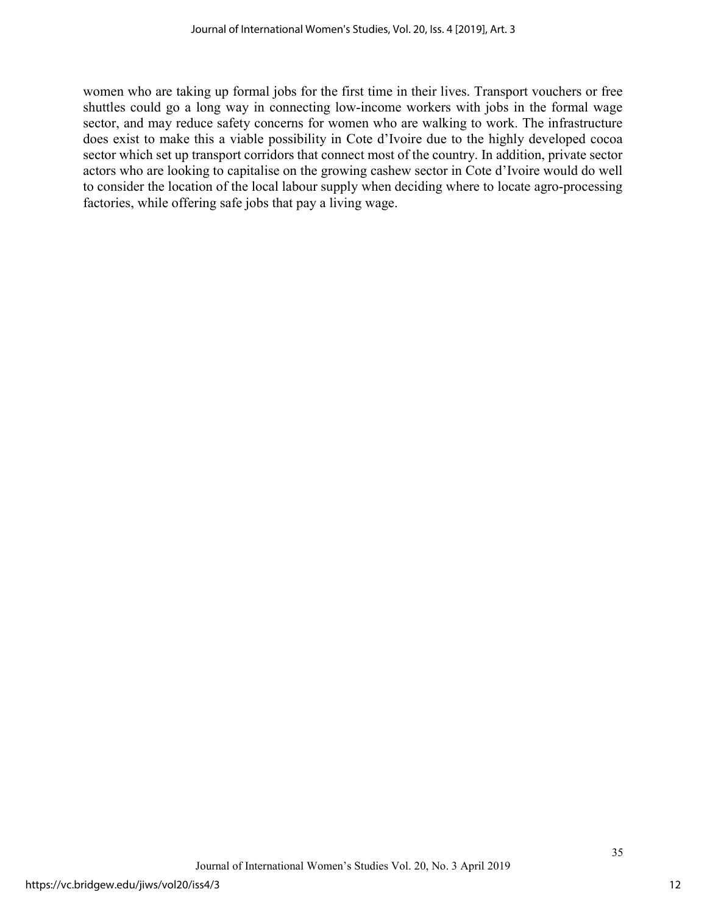women who are taking up formal jobs for the first time in their lives. Transport vouchers or free shuttles could go a long way in connecting low-income workers with jobs in the formal wage sector, and may reduce safety concerns for women who are walking to work. The infrastructure does exist to make this a viable possibility in Cote d'Ivoire due to the highly developed cocoa sector which set up transport corridors that connect most of the country. In addition, private sector actors who are looking to capitalise on the growing cashew sector in Cote d'Ivoire would do well to consider the location of the local labour supply when deciding where to locate agro-processing factories, while offering safe jobs that pay a living wage.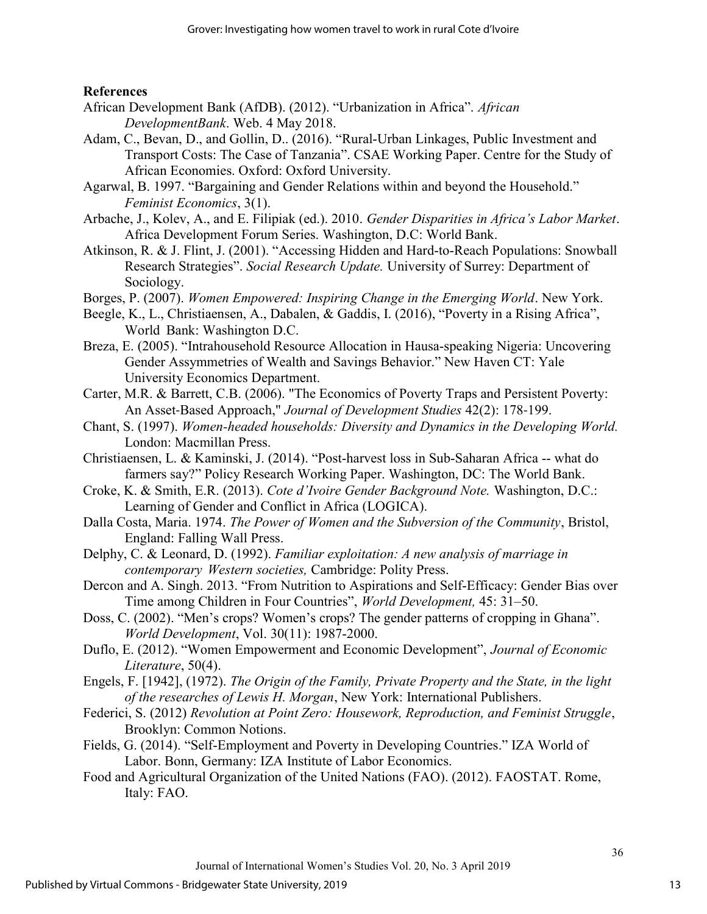# References

- African Development Bank (AfDB). (2012). "Urbanization in Africa". African DevelopmentBank. Web. 4 May 2018.
- Adam, C., Bevan, D., and Gollin, D.. (2016). "Rural-Urban Linkages, Public Investment and Transport Costs: The Case of Tanzania". CSAE Working Paper. Centre for the Study of African Economies. Oxford: Oxford University.
- Agarwal, B. 1997. "Bargaining and Gender Relations within and beyond the Household." Feminist Economics, 3(1).
- Arbache, J., Kolev, A., and E. Filipiak (ed.). 2010. Gender Disparities in Africa's Labor Market. Africa Development Forum Series. Washington, D.C: World Bank.
- Atkinson, R. & J. Flint, J. (2001). "Accessing Hidden and Hard-to-Reach Populations: Snowball Research Strategies". Social Research Update. University of Surrey: Department of Sociology.
- Borges, P. (2007). Women Empowered: Inspiring Change in the Emerging World. New York.
- Beegle, K., L., Christiaensen, A., Dabalen, & Gaddis, I. (2016), "Poverty in a Rising Africa", World Bank: Washington D.C.
- Breza, E. (2005). "Intrahousehold Resource Allocation in Hausa-speaking Nigeria: Uncovering Gender Assymmetries of Wealth and Savings Behavior." New Haven CT: Yale University Economics Department.
- Carter, M.R. & Barrett, C.B. (2006). "The Economics of Poverty Traps and Persistent Poverty: An Asset-Based Approach," Journal of Development Studies 42(2): 178-199.
- Chant, S. (1997). Women-headed households: Diversity and Dynamics in the Developing World. London: Macmillan Press.
- Christiaensen, L. & Kaminski, J. (2014). "Post-harvest loss in Sub-Saharan Africa -- what do farmers say?" Policy Research Working Paper. Washington, DC: The World Bank.
- Croke, K. & Smith, E.R. (2013). Cote d'Ivoire Gender Background Note. Washington, D.C.: Learning of Gender and Conflict in Africa (LOGICA).
- Dalla Costa, Maria. 1974. The Power of Women and the Subversion of the Community, Bristol, England: Falling Wall Press.
- Delphy, C. & Leonard, D. (1992). Familiar exploitation: A new analysis of marriage in contemporary Western societies, Cambridge: Polity Press.
- Dercon and A. Singh. 2013. "From Nutrition to Aspirations and Self-Efficacy: Gender Bias over Time among Children in Four Countries", World Development, 45: 31–50.
- Doss, C. (2002). "Men's crops? Women's crops? The gender patterns of cropping in Ghana". World Development, Vol. 30(11): 1987-2000.
- Duflo, E. (2012). "Women Empowerment and Economic Development", Journal of Economic Literature, 50(4).
- Engels, F. [1942], (1972). The Origin of the Family, Private Property and the State, in the light of the researches of Lewis H. Morgan, New York: International Publishers.
- Federici, S. (2012) Revolution at Point Zero: Housework, Reproduction, and Feminist Struggle, Brooklyn: Common Notions.
- Fields, G. (2014). "Self-Employment and Poverty in Developing Countries." IZA World of Labor. Bonn, Germany: IZA Institute of Labor Economics.
- Food and Agricultural Organization of the United Nations (FAO). (2012). FAOSTAT. Rome, Italy: FAO.

13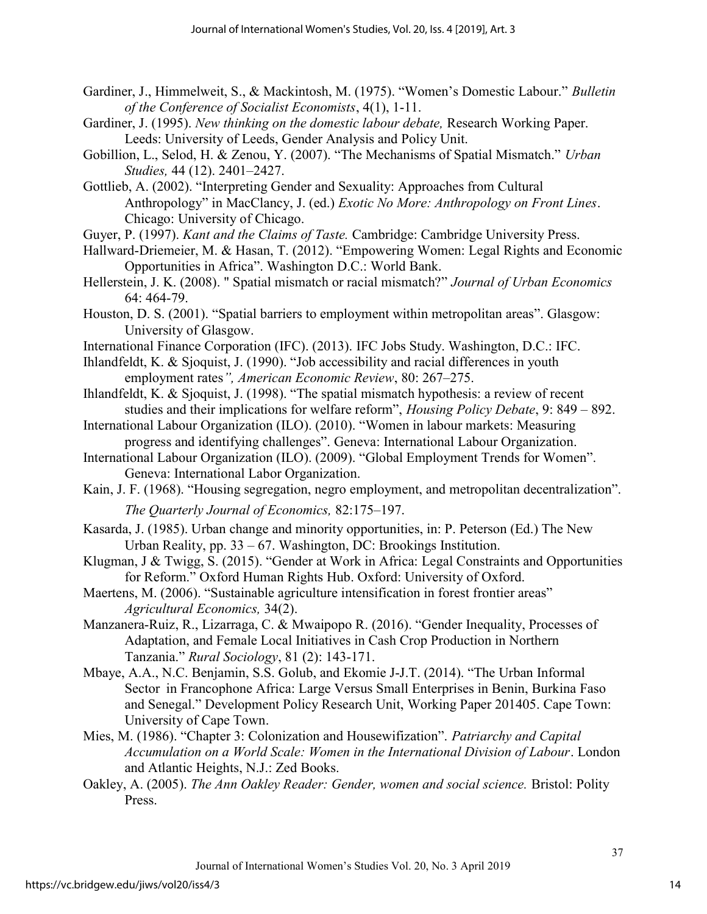- Gardiner, J., Himmelweit, S., & Mackintosh, M. (1975). "Women's Domestic Labour." Bulletin of the Conference of Socialist Economists, 4(1), 1-11.
- Gardiner, J. (1995). New thinking on the domestic labour debate, Research Working Paper. Leeds: University of Leeds, Gender Analysis and Policy Unit.
- Gobillion, L., Selod, H. & Zenou, Y. (2007). "The Mechanisms of Spatial Mismatch." Urban Studies, 44 (12). 2401–2427.
- Gottlieb, A. (2002). "Interpreting Gender and Sexuality: Approaches from Cultural Anthropology" in MacClancy, J. (ed.) Exotic No More: Anthropology on Front Lines. Chicago: University of Chicago.
- Guyer, P. (1997). Kant and the Claims of Taste. Cambridge: Cambridge University Press.
- Hallward-Driemeier, M. & Hasan, T. (2012). "Empowering Women: Legal Rights and Economic Opportunities in Africa". Washington D.C.: World Bank.
- Hellerstein, J. K. (2008). " Spatial mismatch or racial mismatch?" Journal of Urban Economics 64: 464-79.
- Houston, D. S. (2001). "Spatial barriers to employment within metropolitan areas". Glasgow: University of Glasgow.
- International Finance Corporation (IFC). (2013). IFC Jobs Study. Washington, D.C.: IFC.
- Ihlandfeldt, K. & Sjoquist, J. (1990). "Job accessibility and racial differences in youth employment rates", American Economic Review, 80: 267-275.
- Ihlandfeldt, K. & Sjoquist, J. (1998). "The spatial mismatch hypothesis: a review of recent studies and their implications for welfare reform", Housing Policy Debate, 9: 849 – 892.
- International Labour Organization (ILO). (2010). "Women in labour markets: Measuring progress and identifying challenges". Geneva: International Labour Organization.
- International Labour Organization (ILO). (2009). "Global Employment Trends for Women". Geneva: International Labor Organization.
- Kain, J. F. (1968). "Housing segregation, negro employment, and metropolitan decentralization". The Quarterly Journal of Economics, 82:175–197.
- Kasarda, J. (1985). Urban change and minority opportunities, in: P. Peterson (Ed.) The New Urban Reality, pp. 33 – 67. Washington, DC: Brookings Institution.
- Klugman, J & Twigg, S. (2015). "Gender at Work in Africa: Legal Constraints and Opportunities for Reform." Oxford Human Rights Hub. Oxford: University of Oxford.
- Maertens, M. (2006). "Sustainable agriculture intensification in forest frontier areas" Agricultural Economics, 34(2).
- Manzanera-Ruiz, R., Lizarraga, C. & Mwaipopo R. (2016). "Gender Inequality, Processes of Adaptation, and Female Local Initiatives in Cash Crop Production in Northern Tanzania." Rural Sociology, 81 (2): 143-171.
- Mbaye, A.A., N.C. Benjamin, S.S. Golub, and Ekomie J-J.T. (2014). "The Urban Informal Sector in Francophone Africa: Large Versus Small Enterprises in Benin, Burkina Faso and Senegal." Development Policy Research Unit, Working Paper 201405. Cape Town: University of Cape Town.
- Mies, M. (1986). "Chapter 3: Colonization and Housewifization". Patriarchy and Capital Accumulation on a World Scale: Women in the International Division of Labour. London and Atlantic Heights, N.J.: Zed Books.
- Oakley, A. (2005). The Ann Oakley Reader: Gender, women and social science. Bristol: Polity Press.